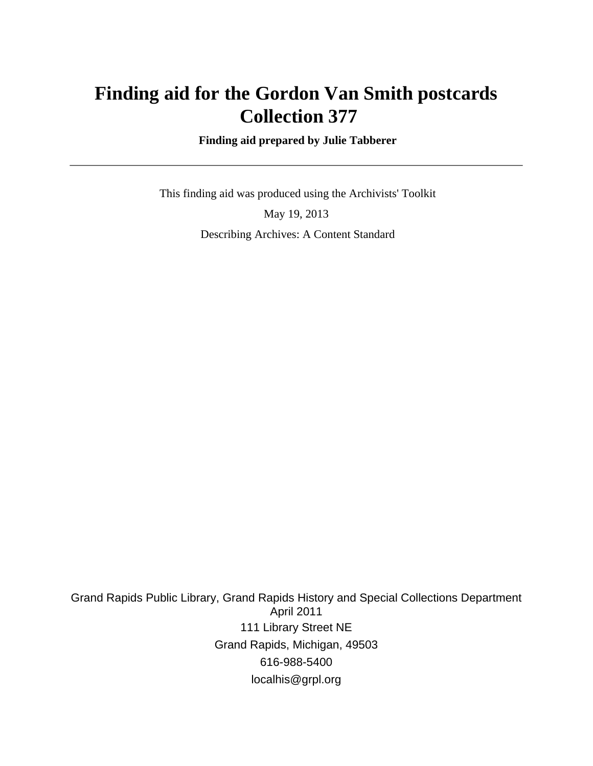# **Finding aid for the Gordon Van Smith postcards Collection 377**

 **Finding aid prepared by Julie Tabberer**

 This finding aid was produced using the Archivists' Toolkit May 19, 2013 Describing Archives: A Content Standard

Grand Rapids Public Library, Grand Rapids History and Special Collections Department April 2011 111 Library Street NE Grand Rapids, Michigan, 49503 616-988-5400 localhis@grpl.org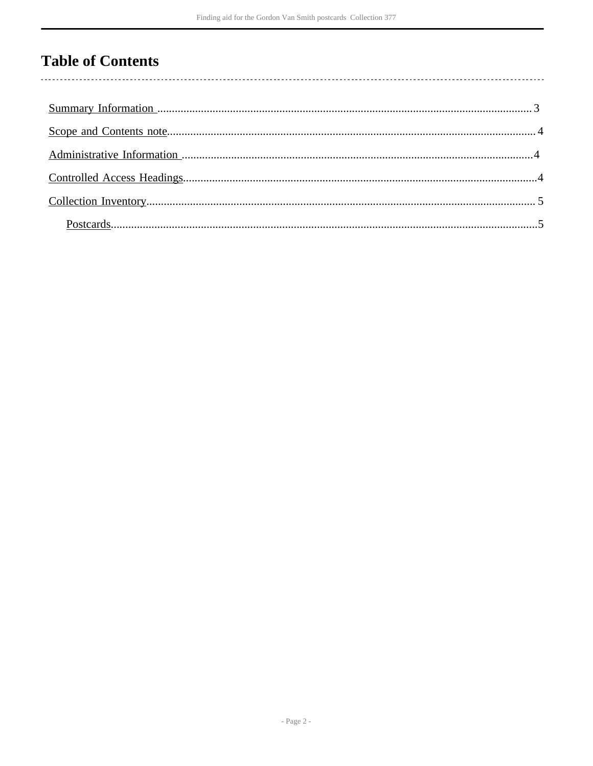# **Table of Contents**

l,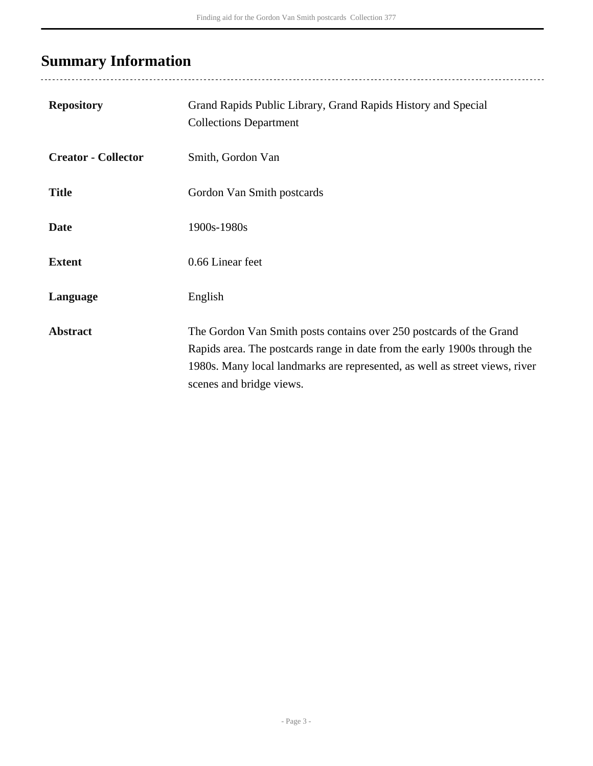# <span id="page-2-0"></span>**Summary Information**

| <b>Repository</b>          | Grand Rapids Public Library, Grand Rapids History and Special<br><b>Collections Department</b>                                                                                                                                                              |
|----------------------------|-------------------------------------------------------------------------------------------------------------------------------------------------------------------------------------------------------------------------------------------------------------|
| <b>Creator - Collector</b> | Smith, Gordon Van                                                                                                                                                                                                                                           |
| <b>Title</b>               | Gordon Van Smith postcards                                                                                                                                                                                                                                  |
| <b>Date</b>                | 1900s-1980s                                                                                                                                                                                                                                                 |
| <b>Extent</b>              | 0.66 Linear feet                                                                                                                                                                                                                                            |
| Language                   | English                                                                                                                                                                                                                                                     |
| <b>Abstract</b>            | The Gordon Van Smith posts contains over 250 postcards of the Grand<br>Rapids area. The postcards range in date from the early 1900s through the<br>1980s. Many local landmarks are represented, as well as street views, river<br>scenes and bridge views. |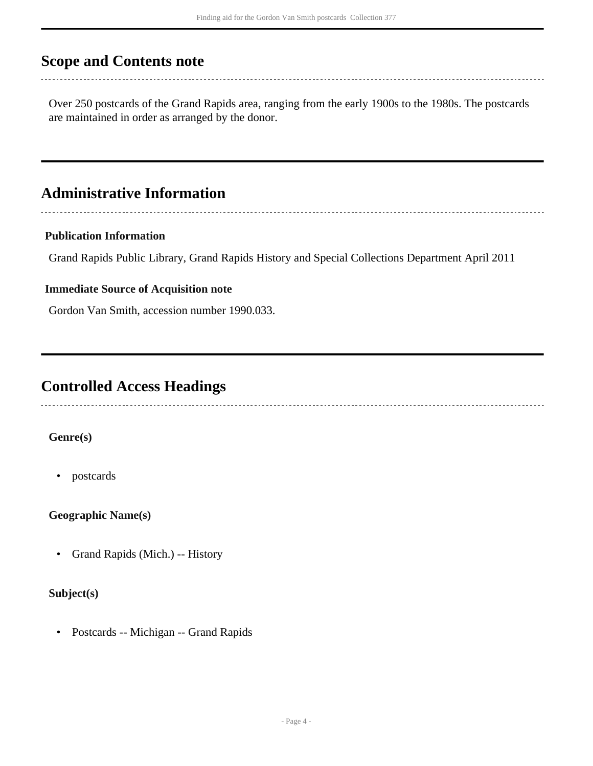## <span id="page-3-0"></span>**Scope and Contents note**

Over 250 postcards of the Grand Rapids area, ranging from the early 1900s to the 1980s. The postcards are maintained in order as arranged by the donor.

### <span id="page-3-1"></span>**Administrative Information**

#### **Publication Information**

Grand Rapids Public Library, Grand Rapids History and Special Collections Department April 2011

#### **Immediate Source of Acquisition note**

Gordon Van Smith, accession number 1990.033.

## <span id="page-3-2"></span>**Controlled Access Headings**

### **Genre(s)**

• postcards

**Geographic Name(s)**

• Grand Rapids (Mich.) -- History

#### **Subject(s)**

• Postcards -- Michigan -- Grand Rapids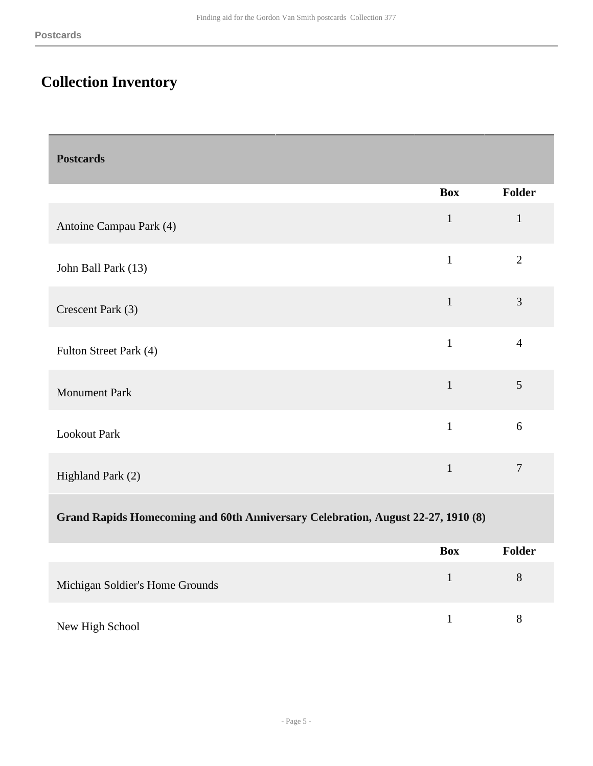## <span id="page-4-0"></span>**Collection Inventory**

<span id="page-4-1"></span>

| <b>Postcards</b>                                                                 |              |                |
|----------------------------------------------------------------------------------|--------------|----------------|
|                                                                                  | <b>Box</b>   | <b>Folder</b>  |
| Antoine Campau Park (4)                                                          | $\mathbf{1}$ | $\mathbf{1}$   |
| John Ball Park (13)                                                              | $\mathbf{1}$ | $\overline{2}$ |
| Crescent Park (3)                                                                | $\mathbf{1}$ | 3              |
| Fulton Street Park (4)                                                           | $\mathbf{1}$ | $\overline{4}$ |
| <b>Monument Park</b>                                                             | $\mathbf{1}$ | 5              |
| <b>Lookout Park</b>                                                              | $\mathbf{1}$ | 6              |
| Highland Park (2)                                                                | $\mathbf{1}$ | $\overline{7}$ |
| Grand Rapids Homecoming and 60th Anniversary Celebration, August 22-27, 1910 (8) |              |                |
|                                                                                  | r            | <b>TIME</b>    |

|                                 | <b>Box</b> | <b>Folder</b> |
|---------------------------------|------------|---------------|
| Michigan Soldier's Home Grounds |            | 8             |
| New High School                 |            |               |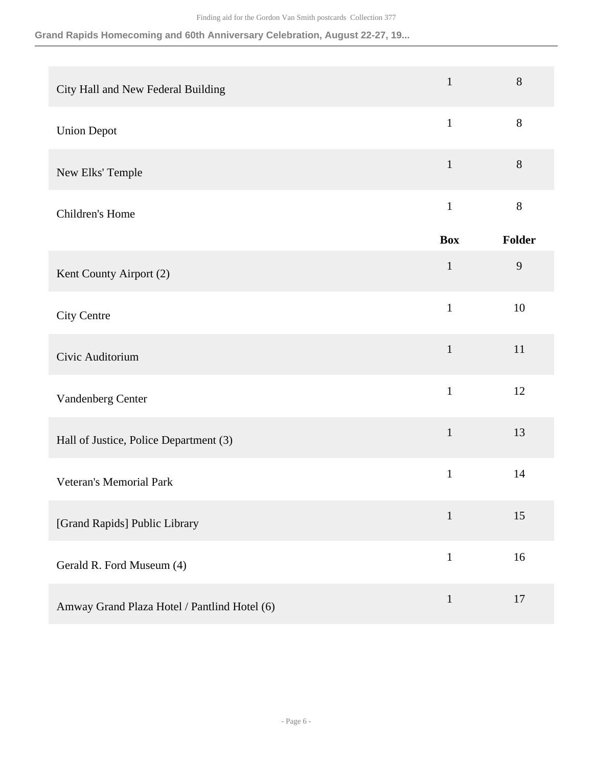### **Grand Rapids Homecoming and 60th Anniversary Celebration, August 22-27, 19...**

| City Hall and New Federal Building           | $\mathbf{1}$ | 8      |
|----------------------------------------------|--------------|--------|
| <b>Union Depot</b>                           | $\mathbf{1}$ | 8      |
| New Elks' Temple                             | $\mathbf{1}$ | $8\,$  |
| Children's Home                              | $\mathbf{1}$ | $8\,$  |
|                                              | <b>Box</b>   | Folder |
| Kent County Airport (2)                      | $\mathbf{1}$ | 9      |
| <b>City Centre</b>                           | $\mathbf{1}$ | 10     |
| Civic Auditorium                             | $\mathbf{1}$ | 11     |
| Vandenberg Center                            | $\mathbf{1}$ | 12     |
| Hall of Justice, Police Department (3)       | $\mathbf{1}$ | 13     |
| <b>Veteran's Memorial Park</b>               | $\mathbf{1}$ | 14     |
| [Grand Rapids] Public Library                | $\mathbf{1}$ | 15     |
| Gerald R. Ford Museum (4)                    | $\mathbf{1}$ | 16     |
| Amway Grand Plaza Hotel / Pantlind Hotel (6) | $\mathbf{1}$ | 17     |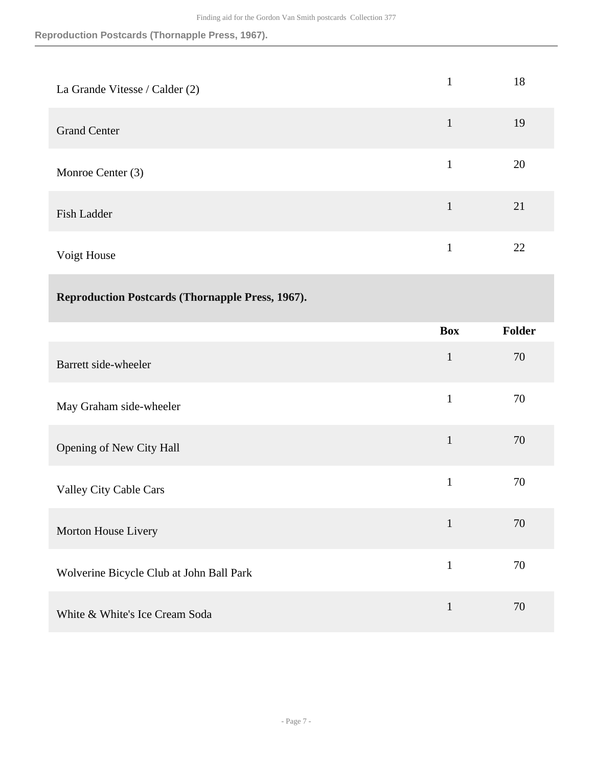**Reproduction Postcards (Thornapple Press, 1967).**

| La Grande Vitesse / Calder (2) | 1 | 18 |
|--------------------------------|---|----|
| <b>Grand Center</b>            | 1 | 19 |
| Monroe Center (3)              | 1 | 20 |
| Fish Ladder                    | 1 | 21 |
| Voigt House                    | 1 | 22 |

| <b>Reproduction Postcards (Thornapple Press, 1967).</b> |  |  |
|---------------------------------------------------------|--|--|
|---------------------------------------------------------|--|--|

|                                          | <b>Box</b>   | <b>Folder</b> |
|------------------------------------------|--------------|---------------|
| Barrett side-wheeler                     | $\mathbf{1}$ | 70            |
| May Graham side-wheeler                  | $\mathbf{1}$ | 70            |
| Opening of New City Hall                 | $\mathbf{1}$ | 70            |
| <b>Valley City Cable Cars</b>            | $\mathbf{1}$ | 70            |
| Morton House Livery                      | $\mathbf{1}$ | 70            |
| Wolverine Bicycle Club at John Ball Park | $\mathbf{1}$ | 70            |
| White & White's Ice Cream Soda           | $\mathbf{1}$ | 70            |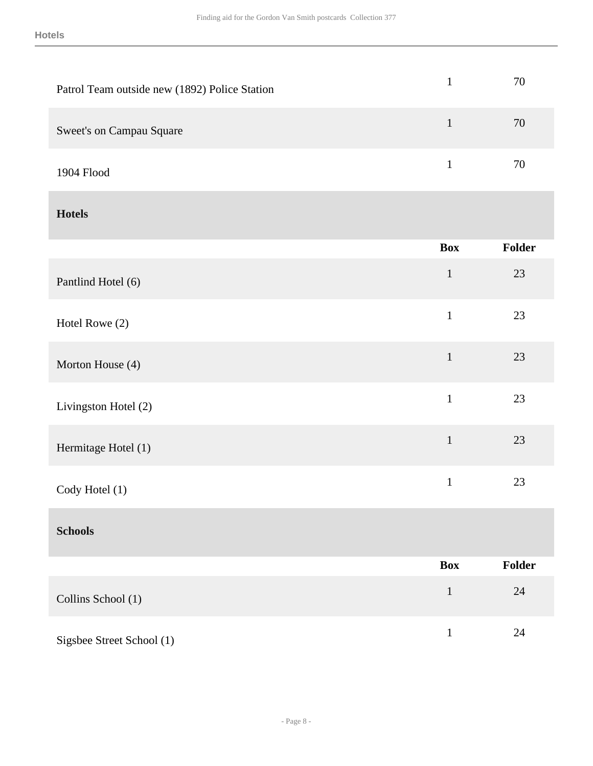| Patrol Team outside new (1892) Police Station | $\mathbf{1}$ | 70     |
|-----------------------------------------------|--------------|--------|
| Sweet's on Campau Square                      | $\mathbf{1}$ | 70     |
| 1904 Flood                                    | $\mathbf{1}$ | 70     |
| <b>Hotels</b>                                 |              |        |
|                                               | <b>Box</b>   | Folder |
| Pantlind Hotel (6)                            | $\mathbf{1}$ | 23     |
| Hotel Rowe (2)                                | $\mathbf{1}$ | 23     |
| Morton House (4)                              | $\mathbf{1}$ | 23     |
| Livingston Hotel (2)                          | $\mathbf 1$  | 23     |
| Hermitage Hotel (1)                           | $\mathbf 1$  | 23     |
| Cody Hotel (1)                                | $\,1\,$      | 23     |
| <b>Schools</b>                                |              |        |
|                                               | <b>Box</b>   | Folder |
| Collins School (1)                            | $\mathbf 1$  | $24\,$ |
| Sigsbee Street School (1)                     | $\,1$        | 24     |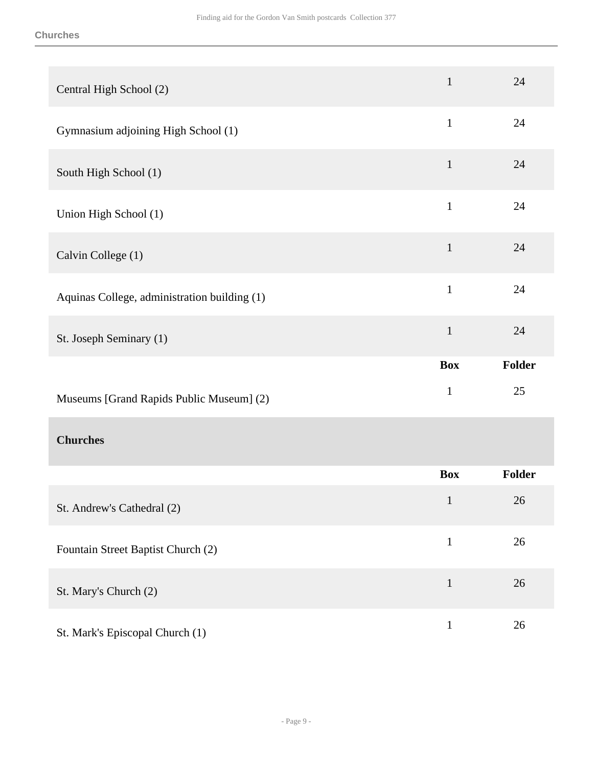| Central High School (2)                      | $\mathbf 1$  | 24     |
|----------------------------------------------|--------------|--------|
| Gymnasium adjoining High School (1)          | $\mathbf{1}$ | 24     |
| South High School (1)                        | $\mathbf{1}$ | 24     |
| Union High School (1)                        | $\mathbf{1}$ | 24     |
| Calvin College (1)                           | $\mathbf{1}$ | 24     |
| Aquinas College, administration building (1) | $\mathbf{1}$ | 24     |
| St. Joseph Seminary (1)                      | $\mathbf{1}$ | 24     |
|                                              |              |        |
|                                              | <b>Box</b>   | Folder |
| Museums [Grand Rapids Public Museum] (2)     | $\mathbf{1}$ | 25     |
| <b>Churches</b>                              |              |        |
|                                              | <b>Box</b>   | Folder |
| St. Andrew's Cathedral (2)                   | $\mathbf{1}$ | 26     |
| Fountain Street Baptist Church (2)           | $\mathbf{1}$ | 26     |
| St. Mary's Church (2)                        | $\mathbf 1$  | 26     |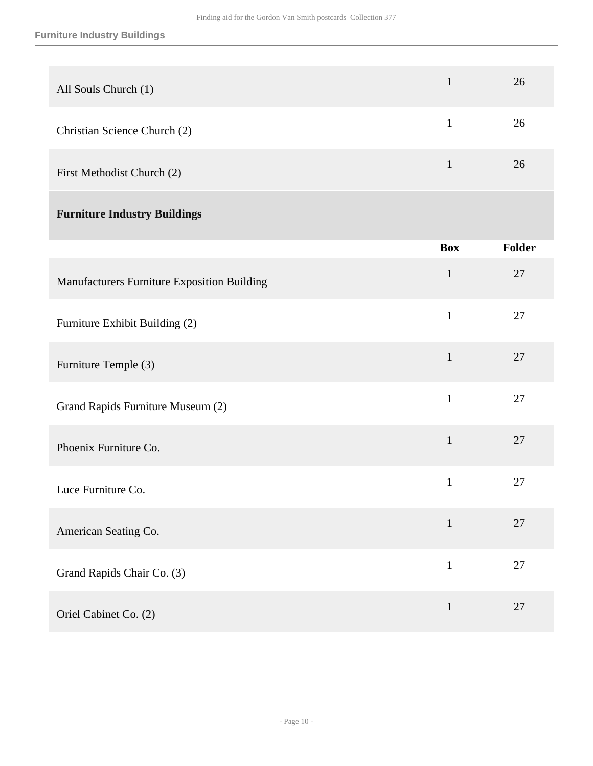| All Souls Church (1)                        | $\mathbf{1}$ | 26     |
|---------------------------------------------|--------------|--------|
| Christian Science Church (2)                | $\mathbf{1}$ | 26     |
| First Methodist Church (2)                  | $\mathbf{1}$ | 26     |
| <b>Furniture Industry Buildings</b>         |              |        |
|                                             | <b>Box</b>   | Folder |
| Manufacturers Furniture Exposition Building | $\mathbf{1}$ | 27     |
| Furniture Exhibit Building (2)              | $\mathbf{1}$ | 27     |
| Furniture Temple (3)                        | $\mathbf{1}$ | $27\,$ |
| Grand Rapids Furniture Museum (2)           | $\mathbf{1}$ | 27     |
| Phoenix Furniture Co.                       | $\mathbf{1}$ | 27     |
| Luce Furniture Co.                          | $\mathbf{1}$ | 27     |
| American Seating Co.                        | $\mathbf{1}$ | 27     |
| Grand Rapids Chair Co. (3)                  | $\mathbf{1}$ | 27     |
| Oriel Cabinet Co. (2)                       | $\mathbf{1}$ | 27     |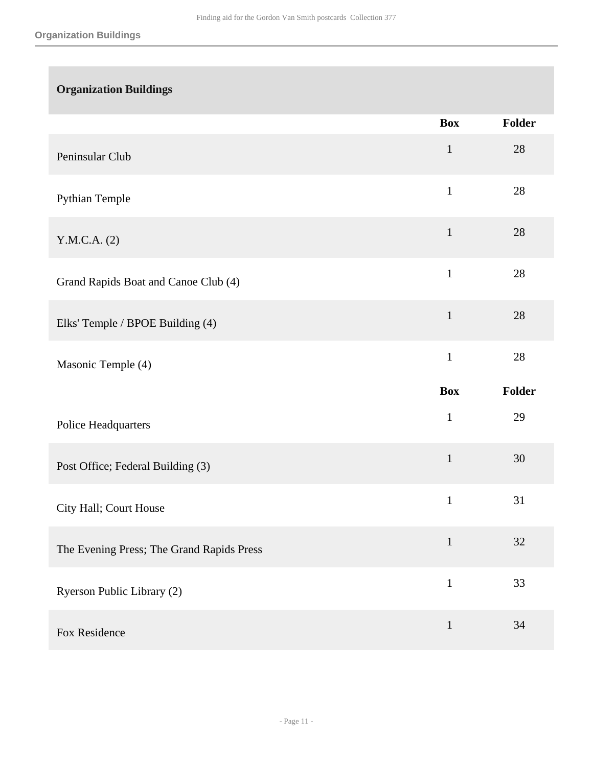| <b>Organization Buildings</b>             |              |        |
|-------------------------------------------|--------------|--------|
|                                           | <b>Box</b>   | Folder |
| Peninsular Club                           | $\mathbf{1}$ | 28     |
| Pythian Temple                            | $\mathbf{1}$ | 28     |
| Y.M.C.A. (2)                              | $\mathbf{1}$ | 28     |
| Grand Rapids Boat and Canoe Club (4)      | $\mathbf{1}$ | 28     |
| Elks' Temple / BPOE Building (4)          | $\mathbf{1}$ | 28     |
| Masonic Temple (4)                        | $\mathbf{1}$ | 28     |
|                                           | <b>Box</b>   | Folder |
|                                           |              |        |
| Police Headquarters                       | $\mathbf{1}$ | 29     |
| Post Office; Federal Building (3)         | $\mathbf{1}$ | 30     |
| City Hall; Court House                    | $\mathbf{1}$ | 31     |
| The Evening Press; The Grand Rapids Press | $\mathbf{1}$ | 32     |
| Ryerson Public Library (2)                | $\mathbf{1}$ | 33     |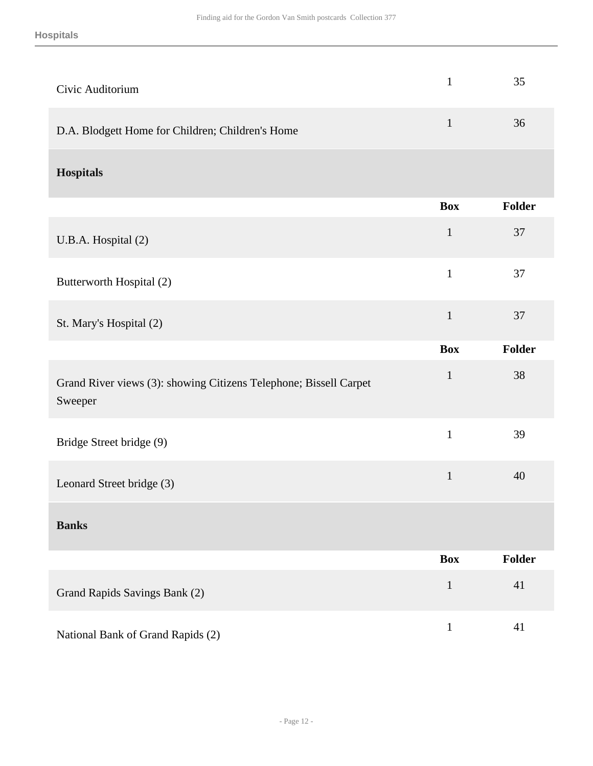| Civic Auditorium                                                             | $\mathbf{1}$ | 35            |
|------------------------------------------------------------------------------|--------------|---------------|
| D.A. Blodgett Home for Children; Children's Home                             | $\mathbf{1}$ | 36            |
| <b>Hospitals</b>                                                             |              |               |
|                                                                              | <b>Box</b>   | <b>Folder</b> |
| U.B.A. Hospital (2)                                                          | $\mathbf{1}$ | 37            |
| Butterworth Hospital (2)                                                     | $\mathbf{1}$ | 37            |
| St. Mary's Hospital (2)                                                      | $\mathbf{1}$ | 37            |
|                                                                              | <b>Box</b>   | <b>Folder</b> |
| Grand River views (3): showing Citizens Telephone; Bissell Carpet<br>Sweeper | $\mathbf{1}$ | 38            |
| Bridge Street bridge (9)                                                     | $\mathbf{1}$ | 39            |
|                                                                              |              |               |
| Leonard Street bridge (3)                                                    | $\mathbf{1}$ | 40            |
| <b>Banks</b>                                                                 |              |               |
|                                                                              | <b>Box</b>   | Folder        |
| Grand Rapids Savings Bank (2)                                                | $\mathbf{1}$ | 41            |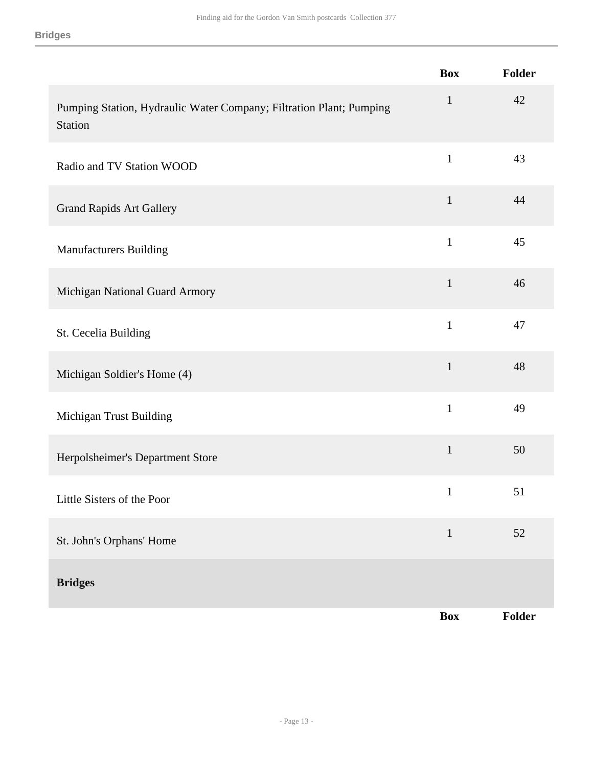|                                                                                | <b>Box</b>   | Folder |
|--------------------------------------------------------------------------------|--------------|--------|
| Pumping Station, Hydraulic Water Company; Filtration Plant; Pumping<br>Station | $\mathbf{1}$ | 42     |
| Radio and TV Station WOOD                                                      | $\mathbf{1}$ | 43     |
| <b>Grand Rapids Art Gallery</b>                                                | $\mathbf{1}$ | 44     |
| <b>Manufacturers Building</b>                                                  | $\mathbf{1}$ | 45     |
| Michigan National Guard Armory                                                 | $\mathbf{1}$ | 46     |
| St. Cecelia Building                                                           | $\mathbf{1}$ | 47     |
| Michigan Soldier's Home (4)                                                    | $\mathbf{1}$ | 48     |
| Michigan Trust Building                                                        | $\mathbf{1}$ | 49     |
| Herpolsheimer's Department Store                                               | $\mathbf{1}$ | 50     |
| Little Sisters of the Poor                                                     | $\mathbf{1}$ | 51     |
| St. John's Orphans' Home                                                       | $\mathbf{1}$ | 52     |
| <b>Bridges</b>                                                                 |              |        |
|                                                                                | <b>Box</b>   | Folder |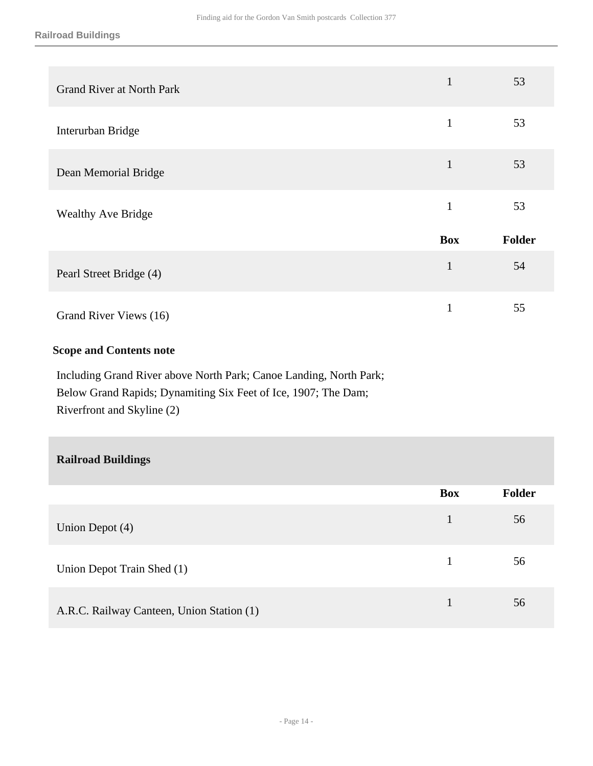| <b>Grand River at North Park</b> | $\mathbf{1}$ | 53     |
|----------------------------------|--------------|--------|
| Interurban Bridge                | 1            | 53     |
| Dean Memorial Bridge             | $\mathbf{1}$ | 53     |
| <b>Wealthy Ave Bridge</b>        | 1            | 53     |
|                                  | <b>Box</b>   | Folder |
| Pearl Street Bridge (4)          | $\mathbf{1}$ | 54     |
| Grand River Views (16)           | $\mathbf{1}$ | 55     |

#### **Scope and Contents note**

Including Grand River above North Park; Canoe Landing, North Park; Below Grand Rapids; Dynamiting Six Feet of Ice, 1907; The Dam; Riverfront and Skyline (2)

| <b>Railroad Buildings</b>                 |            |               |
|-------------------------------------------|------------|---------------|
|                                           | <b>Box</b> | <b>Folder</b> |
| Union Depot (4)                           | 1          | 56            |
| Union Depot Train Shed (1)                | 1          | 56            |
| A.R.C. Railway Canteen, Union Station (1) | 1          | 56            |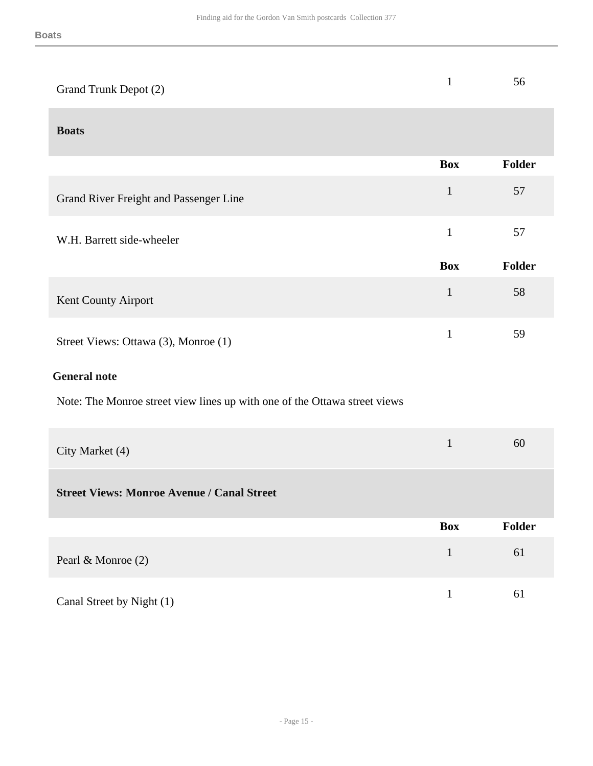|                       | - 56 |
|-----------------------|------|
| Grand Trunk Depot (2) |      |
|                       |      |

#### **Boats**

|                                        | <b>Box</b>   | <b>Folder</b> |
|----------------------------------------|--------------|---------------|
| Grand River Freight and Passenger Line | $\mathbf{1}$ | 57            |
| W.H. Barrett side-wheeler              | 1            | 57            |
|                                        |              |               |
|                                        | <b>Box</b>   | <b>Folder</b> |
| Kent County Airport                    | 1            | 58            |

### **General note**

Note: The Monroe street view lines up with one of the Ottawa street views

| City Market (4)                                   |            | 60            |
|---------------------------------------------------|------------|---------------|
| <b>Street Views: Monroe Avenue / Canal Street</b> |            |               |
|                                                   | <b>Box</b> | <b>Folder</b> |
|                                                   | 1          | 61            |
| Pearl & Monroe (2)                                |            |               |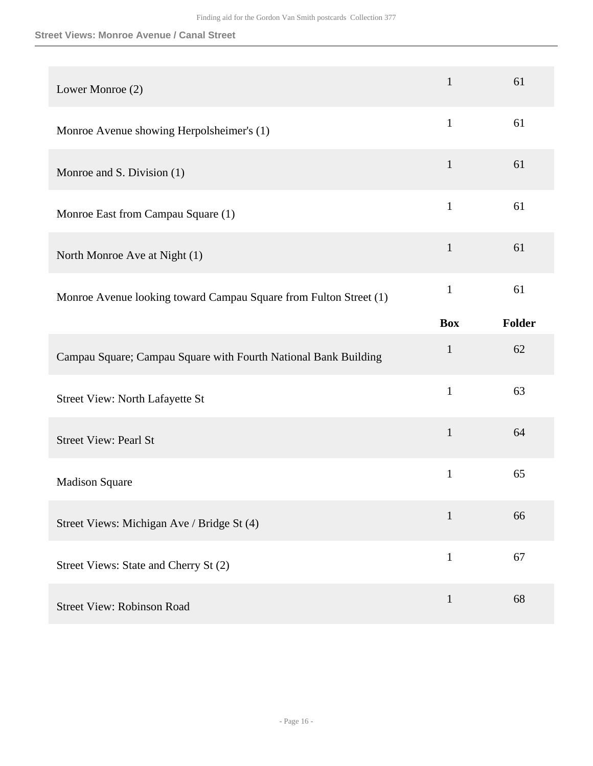#### **Street Views: Monroe Avenue / Canal Street**

| Lower Monroe (2)                                                  | $\mathbf{1}$ | 61     |
|-------------------------------------------------------------------|--------------|--------|
| Monroe Avenue showing Herpolsheimer's (1)                         | $\mathbf{1}$ | 61     |
| Monroe and S. Division (1)                                        | $\mathbf{1}$ | 61     |
| Monroe East from Campau Square (1)                                | $\mathbf{1}$ | 61     |
| North Monroe Ave at Night (1)                                     | $\mathbf{1}$ | 61     |
| Monroe Avenue looking toward Campau Square from Fulton Street (1) | $\mathbf{1}$ | 61     |
|                                                                   | <b>Box</b>   | Folder |
|                                                                   |              |        |
| Campau Square; Campau Square with Fourth National Bank Building   | $\mathbf{1}$ | 62     |
| <b>Street View: North Lafayette St</b>                            | $\mathbf{1}$ | 63     |
| <b>Street View: Pearl St</b>                                      | $\mathbf{1}$ | 64     |
| <b>Madison Square</b>                                             | $\mathbf{1}$ | 65     |
| Street Views: Michigan Ave / Bridge St (4)                        | $\mathbf{1}$ | 66     |
| Street Views: State and Cherry St (2)                             | $\mathbf{1}$ | 67     |